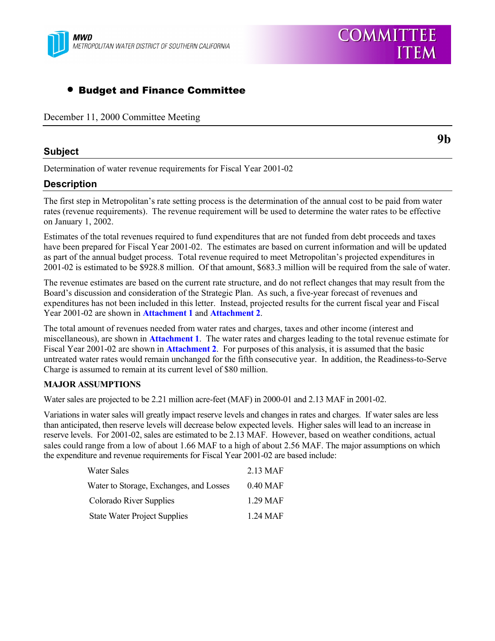

# • Budget and Finance Committee

December 11, 2000 Committee Meeting

# **Subject**

**9b**

**COMMITTEE** 

**ITEM** 

Determination of water revenue requirements for Fiscal Year 2001-02

# **Description**

The first step in Metropolitan's rate setting process is the determination of the annual cost to be paid from water rates (revenue requirements). The revenue requirement will be used to determine the water rates to be effective on January 1, 2002.

Estimates of the total revenues required to fund expenditures that are not funded from debt proceeds and taxes have been prepared for Fiscal Year 2001-02. The estimates are based on current information and will be updated as part of the annual budget process. Total revenue required to meet Metropolitan's projected expenditures in 2001-02 is estimated to be \$928.8 million. Of that amount, \$683.3 million will be required from the sale of water.

The revenue estimates are based on the current rate structure, and do not reflect changes that may result from the Board's discussion and consideration of the Strategic Plan. As such, a five-year forecast of revenues and expenditures has not been included in this letter. Instead, projected results for the current fiscal year and Fiscal Year 2001-02 are shown in **Attachment 1** and **Attachment 2**.

The total amount of revenues needed from water rates and charges, taxes and other income (interest and miscellaneous), are shown in **Attachment 1**. The water rates and charges leading to the total revenue estimate for Fiscal Year 2001-02 are shown in **Attachment 2**. For purposes of this analysis, it is assumed that the basic untreated water rates would remain unchanged for the fifth consecutive year. In addition, the Readiness-to-Serve Charge is assumed to remain at its current level of \$80 million.

# **MAJOR ASSUMPTIONS**

Water sales are projected to be 2.21 million acre-feet (MAF) in 2000-01 and 2.13 MAF in 2001-02.

Variations in water sales will greatly impact reserve levels and changes in rates and charges. If water sales are less than anticipated, then reserve levels will decrease below expected levels. Higher sales will lead to an increase in reserve levels. For 2001-02, sales are estimated to be 2.13 MAF. However, based on weather conditions, actual sales could range from a low of about 1.66 MAF to a high of about 2.56 MAF. The major assumptions on which the expenditure and revenue requirements for Fiscal Year 2001-02 are based include:

| Water Sales                             | 2.13 MAF           |
|-----------------------------------------|--------------------|
| Water to Storage, Exchanges, and Losses | $0.40$ MAF         |
| Colorado River Supplies                 | 1.29 MAF           |
| <b>State Water Project Supplies</b>     | $1.24 \text{ MAF}$ |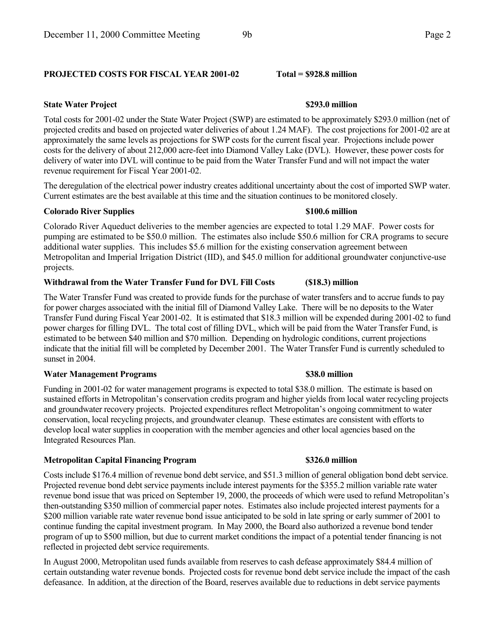# **PROJECTED COSTS FOR FISCAL YEAR 2001-02 Total = \$928.8 million**

## **State Water Project 5293.0 million**

Total costs for 2001-02 under the State Water Project (SWP) are estimated to be approximately \$293.0 million (net of projected credits and based on projected water deliveries of about 1.24 MAF). The cost projections for 2001-02 are at approximately the same levels as projections for SWP costs for the current fiscal year. Projections include power costs for the delivery of about 212,000 acre-feet into Diamond Valley Lake (DVL). However, these power costs for delivery of water into DVL will continue to be paid from the Water Transfer Fund and will not impact the water revenue requirement for Fiscal Year 2001-02.

The deregulation of the electrical power industry creates additional uncertainty about the cost of imported SWP water. Current estimates are the best available at this time and the situation continues to be monitored closely.

## **Colorado River Supplies \$100.6 million**

Colorado River Aqueduct deliveries to the member agencies are expected to total 1.29 MAF. Power costs for pumping are estimated to be \$50.0 million. The estimates also include \$50.6 million for CRA programs to secure additional water supplies. This includes \$5.6 million for the existing conservation agreement between Metropolitan and Imperial Irrigation District (IID), and \$45.0 million for additional groundwater conjunctive-use projects.

## **Withdrawal from the Water Transfer Fund for DVL Fill Costs (\$18.3) million**

The Water Transfer Fund was created to provide funds for the purchase of water transfers and to accrue funds to pay for power charges associated with the initial fill of Diamond Valley Lake. There will be no deposits to the Water Transfer Fund during Fiscal Year 2001-02. It is estimated that \$18.3 million will be expended during 2001-02 to fund power charges for filling DVL. The total cost of filling DVL, which will be paid from the Water Transfer Fund, is estimated to be between \$40 million and \$70 million. Depending on hydrologic conditions, current projections indicate that the initial fill will be completed by December 2001. The Water Transfer Fund is currently scheduled to sunset in 2004.

# **Water Management Programs \$38.0 million**

Funding in 2001-02 for water management programs is expected to total \$38.0 million. The estimate is based on sustained efforts in Metropolitan's conservation credits program and higher yields from local water recycling projects and groundwater recovery projects. Projected expenditures reflect Metropolitan's ongoing commitment to water conservation, local recycling projects, and groundwater cleanup. These estimates are consistent with efforts to develop local water supplies in cooperation with the member agencies and other local agencies based on the Integrated Resources Plan.

## **Metropolitan Capital Financing Program \$326.0 million**

Costs include \$176.4 million of revenue bond debt service, and \$51.3 million of general obligation bond debt service. Projected revenue bond debt service payments include interest payments for the \$355.2 million variable rate water revenue bond issue that was priced on September 19, 2000, the proceeds of which were used to refund Metropolitan's then-outstanding \$350 million of commercial paper notes. Estimates also include projected interest payments for a \$200 million variable rate water revenue bond issue anticipated to be sold in late spring or early summer of 2001 to continue funding the capital investment program. In May 2000, the Board also authorized a revenue bond tender program of up to \$500 million, but due to current market conditions the impact of a potential tender financing is not reflected in projected debt service requirements.

In August 2000, Metropolitan used funds available from reserves to cash defease approximately \$84.4 million of certain outstanding water revenue bonds. Projected costs for revenue bond debt service include the impact of the cash defeasance. In addition, at the direction of the Board, reserves available due to reductions in debt service payments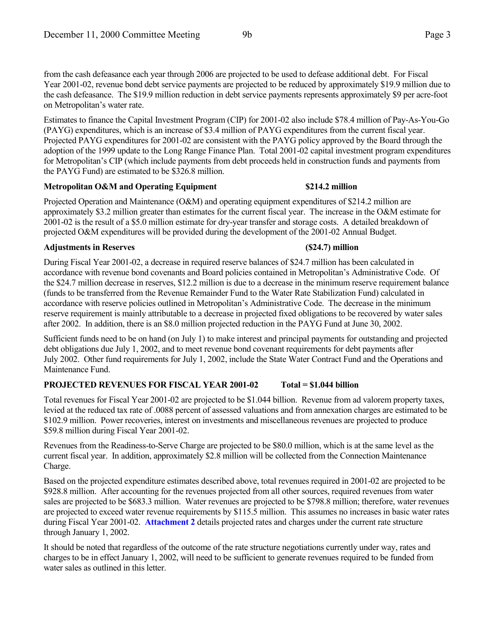from the cash defeasance each year through 2006 are projected to be used to defease additional debt. For Fiscal Year 2001-02, revenue bond debt service payments are projected to be reduced by approximately \$19.9 million due to the cash defeasance. The \$19.9 million reduction in debt service payments represents approximately \$9 per acre-foot on Metropolitan's water rate.

Estimates to finance the Capital Investment Program (CIP) for 2001-02 also include \$78.4 million of Pay-As-You-Go (PAYG) expenditures, which is an increase of \$3.4 million of PAYG expenditures from the current fiscal year. Projected PAYG expenditures for 2001-02 are consistent with the PAYG policy approved by the Board through the adoption of the 1999 update to the Long Range Finance Plan. Total 2001-02 capital investment program expenditures for Metropolitan's CIP (which include payments from debt proceeds held in construction funds and payments from the PAYG Fund) are estimated to be \$326.8 million.

# **Metropolitan O&M and Operating Equipment \$214.2 million**

Projected Operation and Maintenance (O&M) and operating equipment expenditures of \$214.2 million are approximately \$3.2 million greater than estimates for the current fiscal year. The increase in the O&M estimate for 2001-02 is the result of a \$5.0 million estimate for dry-year transfer and storage costs. A detailed breakdown of projected O&M expenditures will be provided during the development of the 2001-02 Annual Budget.

# **Adjustments in Reserves (\$24.7) million**

During Fiscal Year 2001-02, a decrease in required reserve balances of \$24.7 million has been calculated in accordance with revenue bond covenants and Board policies contained in Metropolitan's Administrative Code. Of the \$24.7 million decrease in reserves, \$12.2 million is due to a decrease in the minimum reserve requirement balance (funds to be transferred from the Revenue Remainder Fund to the Water Rate Stabilization Fund) calculated in accordance with reserve policies outlined in Metropolitan's Administrative Code. The decrease in the minimum reserve requirement is mainly attributable to a decrease in projected fixed obligations to be recovered by water sales after 2002. In addition, there is an \$8.0 million projected reduction in the PAYG Fund at June 30, 2002.

Sufficient funds need to be on hand (on July 1) to make interest and principal payments for outstanding and projected debt obligations due July 1, 2002, and to meet revenue bond covenant requirements for debt payments after July 2002. Other fund requirements for July 1, 2002, include the State Water Contract Fund and the Operations and Maintenance Fund.

# **PROJECTED REVENUES FOR FISCAL YEAR 2001-02 Total = \$1.044 billion**

Total revenues for Fiscal Year 2001-02 are projected to be \$1.044 billion. Revenue from ad valorem property taxes, levied at the reduced tax rate of .0088 percent of assessed valuations and from annexation charges are estimated to be \$102.9 million. Power recoveries, interest on investments and miscellaneous revenues are projected to produce \$59.8 million during Fiscal Year 2001-02.

Revenues from the Readiness-to-Serve Charge are projected to be \$80.0 million, which is at the same level as the current fiscal year. In addition, approximately \$2.8 million will be collected from the Connection Maintenance Charge.

Based on the projected expenditure estimates described above, total revenues required in 2001-02 are projected to be \$928.8 million. After accounting for the revenues projected from all other sources, required revenues from water sales are projected to be \$683.3 million. Water revenues are projected to be \$798.8 million; therefore, water revenues are projected to exceed water revenue requirements by \$115.5 million. This assumes no increases in basic water rates during Fiscal Year 2001-02. **Attachment 2** details projected rates and charges under the current rate structure through January 1, 2002.

It should be noted that regardless of the outcome of the rate structure negotiations currently under way, rates and charges to be in effect January 1, 2002, will need to be sufficient to generate revenues required to be funded from water sales as outlined in this letter.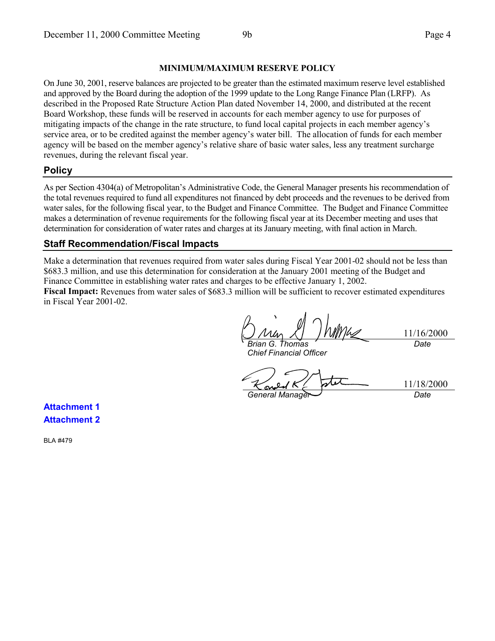### **MINIMUM/MAXIMUM RESERVE POLICY**

On June 30, 2001, reserve balances are projected to be greater than the estimated maximum reserve level established and approved by the Board during the adoption of the 1999 update to the Long Range Finance Plan (LRFP). As described in the Proposed Rate Structure Action Plan dated November 14, 2000, and distributed at the recent Board Workshop, these funds will be reserved in accounts for each member agency to use for purposes of mitigating impacts of the change in the rate structure, to fund local capital projects in each member agency's service area, or to be credited against the member agency's water bill. The allocation of funds for each member agency will be based on the member agency's relative share of basic water sales, less any treatment surcharge revenues, during the relevant fiscal year.

# **Policy**

As per Section 4304(a) of Metropolitan's Administrative Code, the General Manager presents his recommendation of the total revenues required to fund all expenditures not financed by debt proceeds and the revenues to be derived from water sales, for the following fiscal year, to the Budget and Finance Committee. The Budget and Finance Committee makes a determination of revenue requirements for the following fiscal year at its December meeting and uses that determination for consideration of water rates and charges at its January meeting, with final action in March.

# **Staff Recommendation/Fiscal Impacts**

Make a determination that revenues required from water sales during Fiscal Year 2001-02 should not be less than \$683.3 million, and use this determination for consideration at the January 2001 meeting of the Budget and Finance Committee in establishing water rates and charges to be effective January 1, 2002.

**Fiscal Impact:** Revenues from water sales of \$683.3 million will be sufficient to recover estimated expenditures in Fiscal Year 2001-02.

11/16/2000 *Brian G. Thomas Date*

*Chief Financial Officer*

*General Manager Date*

11/18/2000

**Attachment 1 Attachment 2**

BLA #479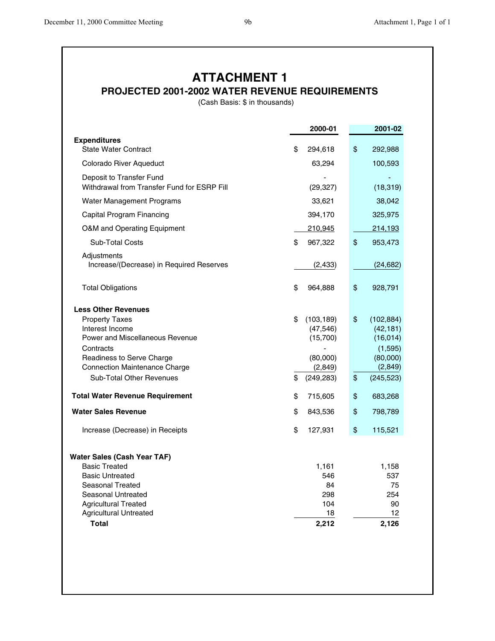# **ATTACHMENT 1**

# **PROJECTED 2001-2002 WATER REVENUE REQUIREMENTS**

(Cash Basis: \$ in thousands)

| <b>Expenditures</b><br><b>State Water Contract</b><br>\$<br>\$<br>294,618<br>292,988<br>Colorado River Aqueduct<br>63,294<br>100,593<br>Deposit to Transfer Fund<br>Withdrawal from Transfer Fund for ESRP Fill<br>(29, 327)<br>(18, 319)<br>Water Management Programs<br>33,621<br>38,042<br>Capital Program Financing<br>394,170<br>325,975<br>O&M and Operating Equipment<br>210,945<br>214,193<br>\$<br>\$<br><b>Sub-Total Costs</b><br>967,322<br>953,473<br>Adjustments<br>Increase/(Decrease) in Required Reserves<br>(2, 433)<br>(24, 682)<br>\$<br>\$<br><b>Total Obligations</b><br>964,888<br>928,791<br><b>Less Other Revenues</b><br>\$<br>\$<br><b>Property Taxes</b><br>(103, 189)<br>(102, 884)<br>Interest Income<br>(47, 546)<br>(42, 181)<br>Power and Miscellaneous Revenue<br>(15,700)<br>(16, 014)<br>Contracts<br>(1,595)<br>(80,000)<br>Readiness to Serve Charge<br>(80,000)<br><b>Connection Maintenance Charge</b><br>(2, 849)<br>(2, 849)<br><b>Sub-Total Other Revenues</b><br>\$<br>\$<br>(249, 283)<br>(245, 523)<br><b>Total Water Revenue Requirement</b><br>\$<br>\$<br>715,605<br>683,268<br><b>Water Sales Revenue</b><br>\$<br>\$<br>843,536<br>798,789<br>\$<br>\$<br>127,931<br>115,521<br>Increase (Decrease) in Receipts<br><b>Water Sales (Cash Year TAF)</b><br><b>Basic Treated</b><br>1,161<br>1,158<br><b>Basic Untreated</b><br>546<br>537<br>Seasonal Treated<br>84<br>75<br>Seasonal Untreated<br>298<br>254<br><b>Agricultural Treated</b><br>104<br>90<br><b>Agricultural Untreated</b><br>18<br>12<br><b>Total</b><br>2,212<br>2,126 | 2000-01 | 2001-02 |
|------------------------------------------------------------------------------------------------------------------------------------------------------------------------------------------------------------------------------------------------------------------------------------------------------------------------------------------------------------------------------------------------------------------------------------------------------------------------------------------------------------------------------------------------------------------------------------------------------------------------------------------------------------------------------------------------------------------------------------------------------------------------------------------------------------------------------------------------------------------------------------------------------------------------------------------------------------------------------------------------------------------------------------------------------------------------------------------------------------------------------------------------------------------------------------------------------------------------------------------------------------------------------------------------------------------------------------------------------------------------------------------------------------------------------------------------------------------------------------------------------------------------------------------------------------------------------------------|---------|---------|
|                                                                                                                                                                                                                                                                                                                                                                                                                                                                                                                                                                                                                                                                                                                                                                                                                                                                                                                                                                                                                                                                                                                                                                                                                                                                                                                                                                                                                                                                                                                                                                                          |         |         |
|                                                                                                                                                                                                                                                                                                                                                                                                                                                                                                                                                                                                                                                                                                                                                                                                                                                                                                                                                                                                                                                                                                                                                                                                                                                                                                                                                                                                                                                                                                                                                                                          |         |         |
|                                                                                                                                                                                                                                                                                                                                                                                                                                                                                                                                                                                                                                                                                                                                                                                                                                                                                                                                                                                                                                                                                                                                                                                                                                                                                                                                                                                                                                                                                                                                                                                          |         |         |
|                                                                                                                                                                                                                                                                                                                                                                                                                                                                                                                                                                                                                                                                                                                                                                                                                                                                                                                                                                                                                                                                                                                                                                                                                                                                                                                                                                                                                                                                                                                                                                                          |         |         |
|                                                                                                                                                                                                                                                                                                                                                                                                                                                                                                                                                                                                                                                                                                                                                                                                                                                                                                                                                                                                                                                                                                                                                                                                                                                                                                                                                                                                                                                                                                                                                                                          |         |         |
|                                                                                                                                                                                                                                                                                                                                                                                                                                                                                                                                                                                                                                                                                                                                                                                                                                                                                                                                                                                                                                                                                                                                                                                                                                                                                                                                                                                                                                                                                                                                                                                          |         |         |
|                                                                                                                                                                                                                                                                                                                                                                                                                                                                                                                                                                                                                                                                                                                                                                                                                                                                                                                                                                                                                                                                                                                                                                                                                                                                                                                                                                                                                                                                                                                                                                                          |         |         |
|                                                                                                                                                                                                                                                                                                                                                                                                                                                                                                                                                                                                                                                                                                                                                                                                                                                                                                                                                                                                                                                                                                                                                                                                                                                                                                                                                                                                                                                                                                                                                                                          |         |         |
|                                                                                                                                                                                                                                                                                                                                                                                                                                                                                                                                                                                                                                                                                                                                                                                                                                                                                                                                                                                                                                                                                                                                                                                                                                                                                                                                                                                                                                                                                                                                                                                          |         |         |
|                                                                                                                                                                                                                                                                                                                                                                                                                                                                                                                                                                                                                                                                                                                                                                                                                                                                                                                                                                                                                                                                                                                                                                                                                                                                                                                                                                                                                                                                                                                                                                                          |         |         |
|                                                                                                                                                                                                                                                                                                                                                                                                                                                                                                                                                                                                                                                                                                                                                                                                                                                                                                                                                                                                                                                                                                                                                                                                                                                                                                                                                                                                                                                                                                                                                                                          |         |         |
|                                                                                                                                                                                                                                                                                                                                                                                                                                                                                                                                                                                                                                                                                                                                                                                                                                                                                                                                                                                                                                                                                                                                                                                                                                                                                                                                                                                                                                                                                                                                                                                          |         |         |
|                                                                                                                                                                                                                                                                                                                                                                                                                                                                                                                                                                                                                                                                                                                                                                                                                                                                                                                                                                                                                                                                                                                                                                                                                                                                                                                                                                                                                                                                                                                                                                                          |         |         |
|                                                                                                                                                                                                                                                                                                                                                                                                                                                                                                                                                                                                                                                                                                                                                                                                                                                                                                                                                                                                                                                                                                                                                                                                                                                                                                                                                                                                                                                                                                                                                                                          |         |         |
|                                                                                                                                                                                                                                                                                                                                                                                                                                                                                                                                                                                                                                                                                                                                                                                                                                                                                                                                                                                                                                                                                                                                                                                                                                                                                                                                                                                                                                                                                                                                                                                          |         |         |
|                                                                                                                                                                                                                                                                                                                                                                                                                                                                                                                                                                                                                                                                                                                                                                                                                                                                                                                                                                                                                                                                                                                                                                                                                                                                                                                                                                                                                                                                                                                                                                                          |         |         |
|                                                                                                                                                                                                                                                                                                                                                                                                                                                                                                                                                                                                                                                                                                                                                                                                                                                                                                                                                                                                                                                                                                                                                                                                                                                                                                                                                                                                                                                                                                                                                                                          |         |         |
|                                                                                                                                                                                                                                                                                                                                                                                                                                                                                                                                                                                                                                                                                                                                                                                                                                                                                                                                                                                                                                                                                                                                                                                                                                                                                                                                                                                                                                                                                                                                                                                          |         |         |
|                                                                                                                                                                                                                                                                                                                                                                                                                                                                                                                                                                                                                                                                                                                                                                                                                                                                                                                                                                                                                                                                                                                                                                                                                                                                                                                                                                                                                                                                                                                                                                                          |         |         |
|                                                                                                                                                                                                                                                                                                                                                                                                                                                                                                                                                                                                                                                                                                                                                                                                                                                                                                                                                                                                                                                                                                                                                                                                                                                                                                                                                                                                                                                                                                                                                                                          |         |         |
|                                                                                                                                                                                                                                                                                                                                                                                                                                                                                                                                                                                                                                                                                                                                                                                                                                                                                                                                                                                                                                                                                                                                                                                                                                                                                                                                                                                                                                                                                                                                                                                          |         |         |
|                                                                                                                                                                                                                                                                                                                                                                                                                                                                                                                                                                                                                                                                                                                                                                                                                                                                                                                                                                                                                                                                                                                                                                                                                                                                                                                                                                                                                                                                                                                                                                                          |         |         |
|                                                                                                                                                                                                                                                                                                                                                                                                                                                                                                                                                                                                                                                                                                                                                                                                                                                                                                                                                                                                                                                                                                                                                                                                                                                                                                                                                                                                                                                                                                                                                                                          |         |         |
|                                                                                                                                                                                                                                                                                                                                                                                                                                                                                                                                                                                                                                                                                                                                                                                                                                                                                                                                                                                                                                                                                                                                                                                                                                                                                                                                                                                                                                                                                                                                                                                          |         |         |
|                                                                                                                                                                                                                                                                                                                                                                                                                                                                                                                                                                                                                                                                                                                                                                                                                                                                                                                                                                                                                                                                                                                                                                                                                                                                                                                                                                                                                                                                                                                                                                                          |         |         |
|                                                                                                                                                                                                                                                                                                                                                                                                                                                                                                                                                                                                                                                                                                                                                                                                                                                                                                                                                                                                                                                                                                                                                                                                                                                                                                                                                                                                                                                                                                                                                                                          |         |         |
|                                                                                                                                                                                                                                                                                                                                                                                                                                                                                                                                                                                                                                                                                                                                                                                                                                                                                                                                                                                                                                                                                                                                                                                                                                                                                                                                                                                                                                                                                                                                                                                          |         |         |
|                                                                                                                                                                                                                                                                                                                                                                                                                                                                                                                                                                                                                                                                                                                                                                                                                                                                                                                                                                                                                                                                                                                                                                                                                                                                                                                                                                                                                                                                                                                                                                                          |         |         |